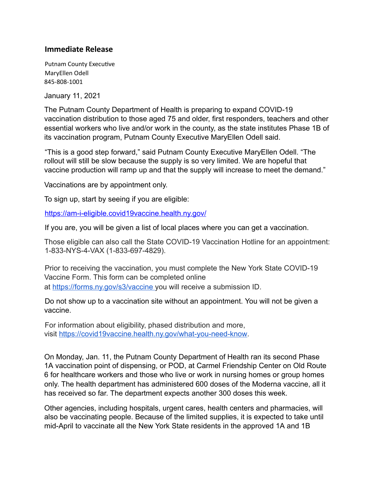## **Immediate Release**

Putnam County Executive MaryEllen Odell 845-808-1001

January 11, 2021

The Putnam County Department of Health is preparing to expand COVID-19 vaccination distribution to those aged 75 and older, first responders, teachers and other essential workers who live and/or work in the county, as the state institutes Phase 1B of its vaccination program, Putnam County Executive MaryEllen Odell said.

"This is a good step forward," said Putnam County Executive MaryEllen Odell. "The rollout will still be slow because the supply is so very limited. We are hopeful that vaccine production will ramp up and that the supply will increase to meet the demand."

Vaccinations are by appointment only.

To sign up, start by seeing if you are eligible:

https://am-i-eligible.covid19vaccine.health.ny.gov/

If you are, you will be given a list of local places where you can get a vaccination.

Those eligible can also call the State COVID-19 Vaccination Hotline for an appointment: 1-833-NYS-4-VAX (1-833-697-4829).

Prior to receiving the vaccination, you must complete the New York State COVID-19 Vaccine Form. This form can be completed online at https://forms.ny.gov/s3/vaccine you will receive a submission ID.

Do not show up to a vaccination site without an appointment. You will not be given a vaccine.

For information about eligibility, phased distribution and more, visit https://covid19vaccine.health.ny.gov/what-you-need-know .

On Monday, Jan. 11, the Putnam County Department of Health ran its second Phase 1A vaccination point of dispensing, or POD, at Carmel Friendship Center on Old Route 6 for healthcare workers and those who live or work in nursing homes or group homes only. The health department has administered 600 doses of the Moderna vaccine, all it has received so far. The department expects another 300 doses this week.

Other agencies, including hospitals, urgent cares, health centers and pharmacies, will also be vaccinating people. Because of the limited supplies, it is expected to take until mid-April to vaccinate all the New York State residents in the approved 1A and 1B